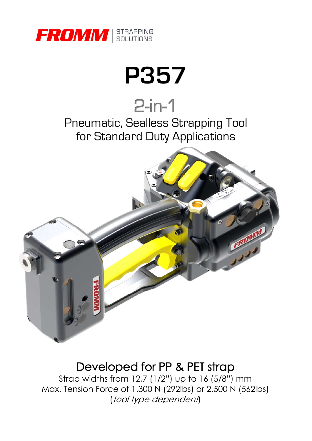

# P357

# $2-in-1$ Pneumatic, Sealless Strapping Tool for Standard Duty Applications



Developed for PP & PET strap<br>Strap widths from 12,7 (1/2") up to 16 (5/8") mm Max. Tension Force of 1.300 N (292lbs) or 2.500 N (562lbs) (tool type dependent)